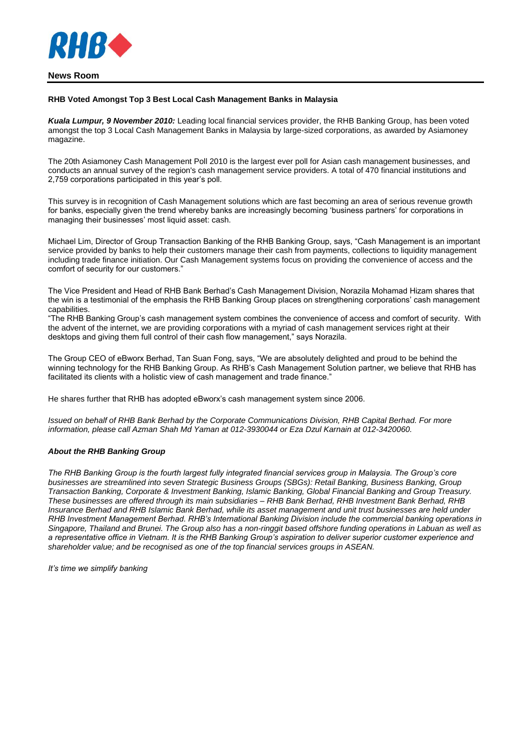

**News Room**

## **RHB Voted Amongst Top 3 Best Local Cash Management Banks in Malaysia**

*Kuala Lumpur, 9 November 2010:* Leading local financial services provider, the RHB Banking Group, has been voted amongst the top 3 Local Cash Management Banks in Malaysia by large-sized corporations, as awarded by Asiamoney magazine.

The 20th Asiamoney Cash Management Poll 2010 is the largest ever poll for Asian cash management businesses, and conducts an annual survey of the region's cash management service providers. A total of 470 financial institutions and 2,759 corporations participated in this year's poll.

This survey is in recognition of Cash Management solutions which are fast becoming an area of serious revenue growth for banks, especially given the trend whereby banks are increasingly becoming 'business partners' for corporations in managing their businesses' most liquid asset: cash.

Michael Lim, Director of Group Transaction Banking of the RHB Banking Group, says, "Cash Management is an important service provided by banks to help their customers manage their cash from payments, collections to liquidity management including trade finance initiation. Our Cash Management systems focus on providing the convenience of access and the comfort of security for our customers."

The Vice President and Head of RHB Bank Berhad's Cash Management Division, Norazila Mohamad Hizam shares that the win is a testimonial of the emphasis the RHB Banking Group places on strengthening corporations' cash management capabilities.

"The RHB Banking Group's cash management system combines the convenience of access and comfort of security. With the advent of the internet, we are providing corporations with a myriad of cash management services right at their desktops and giving them full control of their cash flow management," says Norazila.

The Group CEO of eBworx Berhad, Tan Suan Fong, says, "We are absolutely delighted and proud to be behind the winning technology for the RHB Banking Group. As RHB's Cash Management Solution partner, we believe that RHB has facilitated its clients with a holistic view of cash management and trade finance."

He shares further that RHB has adopted eBworx's cash management system since 2006.

*Issued on behalf of RHB Bank Berhad by the Corporate Communications Division, RHB Capital Berhad. For more information, please call Azman Shah Md Yaman at 012-3930044 or Eza Dzul Karnain at 012-3420060.*

## *About the RHB Banking Group*

*The RHB Banking Group is the fourth largest fully integrated financial services group in Malaysia. The Group's core businesses are streamlined into seven Strategic Business Groups (SBGs): Retail Banking, Business Banking, Group Transaction Banking, Corporate & Investment Banking, Islamic Banking, Global Financial Banking and Group Treasury. These businesses are offered through its main subsidiaries – RHB Bank Berhad, RHB Investment Bank Berhad, RHB Insurance Berhad and RHB Islamic Bank Berhad, while its asset management and unit trust businesses are held under RHB Investment Management Berhad. RHB's International Banking Division include the commercial banking operations in Singapore, Thailand and Brunei. The Group also has a non-ringgit based offshore funding operations in Labuan as well as a representative office in Vietnam. It is the RHB Banking Group's aspiration to deliver superior customer experience and shareholder value; and be recognised as one of the top financial services groups in ASEAN.*

*It's time we simplify banking*